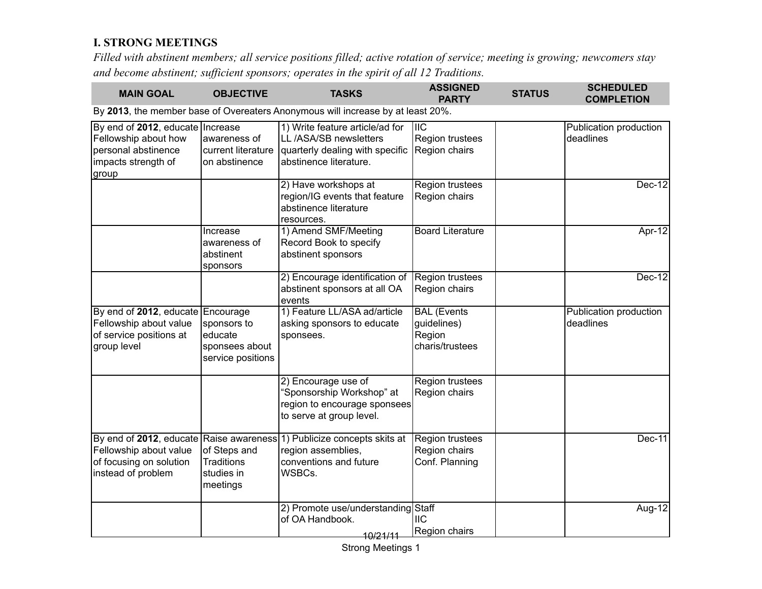## **I. STRONG MEETINGS**

*Filled with abstinent members; all service positions filled; active rotation of service; meeting is growing; newcomers stay and become abstinent; sufficient sponsors; operates in the spirit of all 12 Traditions.*

| <b>MAIN GOAL</b>                                                                                                   | <b>OBJECTIVE</b>                                              | <b>TASKS</b>                                                                                                          | <b>ASSIGNED</b><br><b>PARTY</b>                                | <b>STATUS</b> | <b>SCHEDULED</b><br><b>COMPLETION</b> |
|--------------------------------------------------------------------------------------------------------------------|---------------------------------------------------------------|-----------------------------------------------------------------------------------------------------------------------|----------------------------------------------------------------|---------------|---------------------------------------|
|                                                                                                                    |                                                               | By 2013, the member base of Overeaters Anonymous will increase by at least 20%.                                       |                                                                |               |                                       |
| By end of 2012, educate Increase<br>Fellowship about how<br>personal abstinence<br>impacts strength of<br>group    | awareness of<br>current literature<br>on abstinence           | 1) Write feature article/ad for<br>LL/ASA/SB newsletters<br>quarterly dealing with specific<br>abstinence literature. | liic<br>Region trustees<br>Region chairs                       |               | Publication production<br>deadlines   |
|                                                                                                                    |                                                               | 2) Have workshops at<br>region/IG events that feature<br>abstinence literature<br>resources.                          | Region trustees<br>Region chairs                               |               | Dec-12                                |
|                                                                                                                    | Increase<br>awareness of<br>abstinent<br>sponsors             | 1) Amend SMF/Meeting<br>Record Book to specify<br>abstinent sponsors                                                  | <b>Board Literature</b>                                        |               | Apr-12                                |
|                                                                                                                    |                                                               | 2) Encourage identification of<br>abstinent sponsors at all OA<br>events                                              | Region trustees<br>Region chairs                               |               | Dec-12                                |
| By end of 2012, educate Encourage<br>Fellowship about value<br>of service positions at<br>group level              | sponsors to<br>educate<br>sponsees about<br>service positions | 1) Feature LL/ASA ad/article<br>asking sponsors to educate<br>sponsees.                                               | <b>BAL</b> (Events<br>guidelines)<br>Region<br>charis/trustees |               | Publication production<br>deadlines   |
|                                                                                                                    |                                                               | 2) Encourage use of<br>'Sponsorship Workshop" at<br>region to encourage sponsees<br>to serve at group level.          | Region trustees<br>Region chairs                               |               |                                       |
| By end of 2012, educate Raise awareness<br>Fellowship about value<br>of focusing on solution<br>instead of problem | of Steps and<br><b>Traditions</b><br>studies in<br>meetings   | 1) Publicize concepts skits at<br>region assemblies,<br>conventions and future<br>WSBCs.                              | Region trustees<br>Region chairs<br>Conf. Planning             |               | Dec-11                                |
|                                                                                                                    |                                                               | 2) Promote use/understanding Staff<br>of OA Handbook.<br>10/21/11                                                     | <b>IIC</b><br>Region chairs                                    |               | Aug-12                                |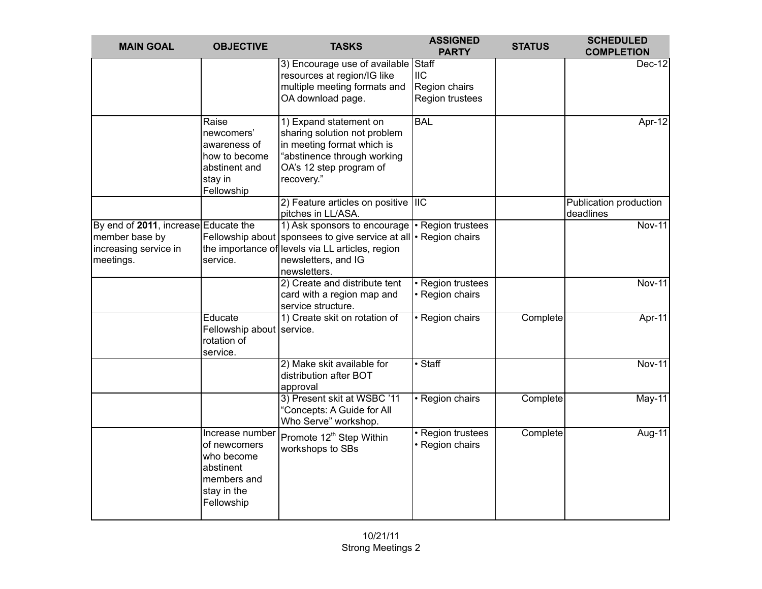| <b>MAIN GOAL</b>                                                                             | <b>OBJECTIVE</b>                                                                                       | <b>TASKS</b>                                                                                                                                                                                                  | <b>ASSIGNED</b><br><b>PARTY</b>                | <b>STATUS</b> | <b>SCHEDULED</b><br><b>COMPLETION</b>      |
|----------------------------------------------------------------------------------------------|--------------------------------------------------------------------------------------------------------|---------------------------------------------------------------------------------------------------------------------------------------------------------------------------------------------------------------|------------------------------------------------|---------------|--------------------------------------------|
|                                                                                              |                                                                                                        | 3) Encourage use of available Staff<br>resources at region/IG like<br>multiple meeting formats and<br>OA download page.                                                                                       | <b>IIC</b><br>Region chairs<br>Region trustees |               | Dec-12                                     |
|                                                                                              | Raise<br>newcomers'<br>awareness of<br>how to become<br>abstinent and<br>stay in<br>Fellowship         | 1) Expand statement on<br>sharing solution not problem<br>in meeting format which is<br>"abstinence through working<br>OA's 12 step program of<br>recovery."                                                  | <b>BAL</b>                                     |               | Apr-12                                     |
|                                                                                              |                                                                                                        | 2) Feature articles on positive  IIC<br>pitches in LL/ASA.                                                                                                                                                    |                                                |               | <b>Publication production</b><br>deadlines |
| By end of 2011, increase Educate the<br>member base by<br>increasing service in<br>meetings. | service.                                                                                               | 1) Ask sponsors to encourage   Region trustees<br>Fellowship about sponsees to give service at all   Region chairs<br>the importance of levels via LL articles, region<br>newsletters, and IG<br>newsletters. |                                                |               | <b>Nov-11</b>                              |
|                                                                                              |                                                                                                        | 2) Create and distribute tent<br>card with a region map and<br>service structure.                                                                                                                             | · Region trustees<br>• Region chairs           |               | <b>Nov-11</b>                              |
|                                                                                              | Educate<br>Fellowship about service.<br>rotation of<br>service.                                        | 1) Create skit on rotation of                                                                                                                                                                                 | • Region chairs                                | Complete      | Apr-11                                     |
|                                                                                              |                                                                                                        | 2) Make skit available for<br>distribution after BOT<br>approval                                                                                                                                              | $\overline{\cdot$ Staff                        |               | <b>Nov-11</b>                              |
|                                                                                              |                                                                                                        | 3) Present skit at WSBC '11<br>"Concepts: A Guide for All<br>Who Serve" workshop.                                                                                                                             | · Region chairs                                | Complete      | May-11                                     |
|                                                                                              | Increase number<br>of newcomers<br>who become<br>abstinent<br>members and<br>stay in the<br>Fellowship | Promote 12 <sup>th</sup> Step Within<br>workshops to SBs                                                                                                                                                      | · Region trustees<br>· Region chairs           | Complete      | Aug-11                                     |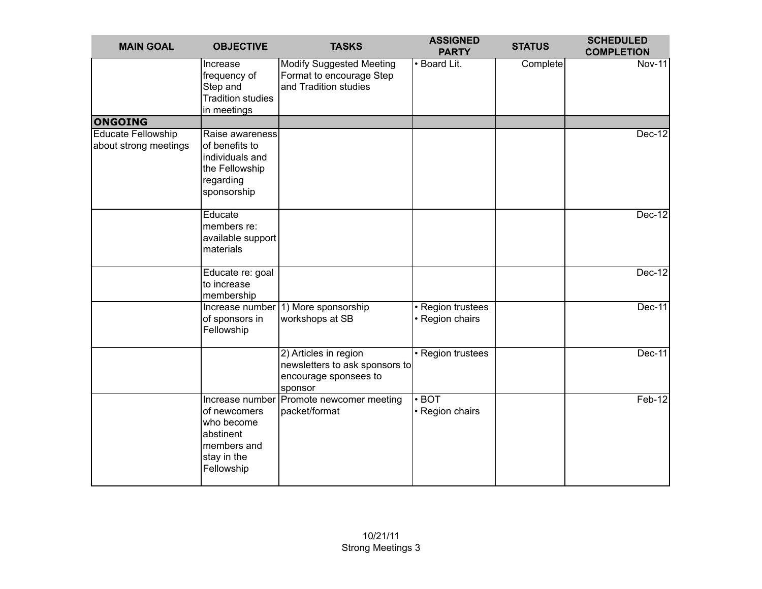| <b>MAIN GOAL</b>                                   | <b>OBJECTIVE</b>                                                                                   | <b>TASKS</b>                                                                                | <b>ASSIGNED</b><br><b>PARTY</b>          | <b>STATUS</b> | <b>SCHEDULED</b><br><b>COMPLETION</b> |
|----------------------------------------------------|----------------------------------------------------------------------------------------------------|---------------------------------------------------------------------------------------------|------------------------------------------|---------------|---------------------------------------|
|                                                    | Increase<br>frequency of<br>Step and<br><b>Tradition studies</b><br>in meetings                    | <b>Modify Suggested Meeting</b><br>Format to encourage Step<br>and Tradition studies        | · Board Lit.                             | Complete      | <b>Nov-11</b>                         |
| ONGOING                                            |                                                                                                    |                                                                                             |                                          |               |                                       |
| <b>Educate Fellowship</b><br>about strong meetings | Raise awareness<br>of benefits to<br>individuals and<br>the Fellowship<br>regarding<br>sponsorship |                                                                                             |                                          |               | <b>Dec-12</b>                         |
|                                                    | Educate<br>members re:<br>available support<br>materials                                           |                                                                                             |                                          |               | Dec-12                                |
|                                                    | Educate re: goal<br>to increase<br>membership                                                      |                                                                                             |                                          |               | $Dec-12$                              |
|                                                    | Increase number<br>of sponsors in<br>Fellowship                                                    | 1) More sponsorship<br>workshops at SB                                                      | • Region trustees<br>• Region chairs     |               | Dec-11                                |
|                                                    |                                                                                                    | 2) Articles in region<br>newsletters to ask sponsors to<br>encourage sponsees to<br>sponsor | • Region trustees                        |               | Dec-11                                |
|                                                    | of newcomers<br>who become<br>abstinent<br>members and<br>stay in the<br>Fellowship                | Increase number Promote newcomer meeting<br>packet/format                                   | $\overline{\cdot$ BOT<br>• Region chairs |               | Feb-12                                |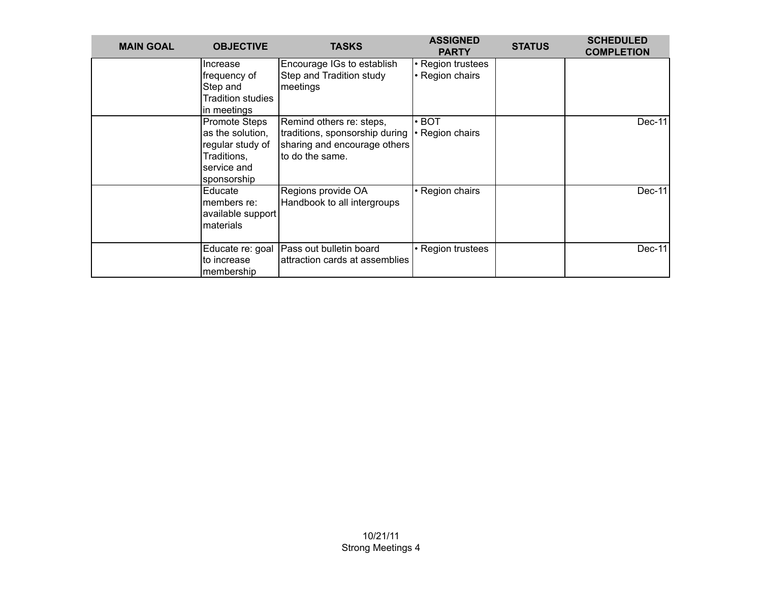| <b>MAIN GOAL</b> | <b>OBJECTIVE</b>         | <b>TASKS</b>                               | <b>ASSIGNED</b><br><b>PARTY</b> | <b>STATUS</b> | <b>SCHEDULED</b><br><b>COMPLETION</b> |
|------------------|--------------------------|--------------------------------------------|---------------------------------|---------------|---------------------------------------|
|                  | Increase                 | Encourage IGs to establish                 | • Region trustees               |               |                                       |
|                  | frequency of             | Step and Tradition study                   | • Region chairs                 |               |                                       |
|                  | Step and                 | meetings                                   |                                 |               |                                       |
|                  | <b>Tradition studies</b> |                                            |                                 |               |                                       |
|                  | in meetings              |                                            |                                 |               |                                       |
|                  | <b>Promote Steps</b>     | Remind others re: steps,                   | $\cdot$ BOT                     |               | Dec-11                                |
|                  | as the solution,         | traditions, sponsorship during             | • Region chairs                 |               |                                       |
|                  | regular study of         | sharing and encourage others               |                                 |               |                                       |
|                  | Traditions,              | to do the same.                            |                                 |               |                                       |
|                  | service and              |                                            |                                 |               |                                       |
|                  | sponsorship              |                                            |                                 |               |                                       |
|                  | Educate                  | Regions provide OA                         | • Region chairs                 |               | $Dec-11$                              |
|                  | members re:              | Handbook to all intergroups                |                                 |               |                                       |
|                  | available support        |                                            |                                 |               |                                       |
|                  | materials                |                                            |                                 |               |                                       |
|                  |                          |                                            |                                 |               |                                       |
|                  |                          | Educate re: goal   Pass out bulletin board | • Region trustees               |               | $Dec-11$                              |
|                  | to increase              | attraction cards at assemblies             |                                 |               |                                       |
|                  | membership               |                                            |                                 |               |                                       |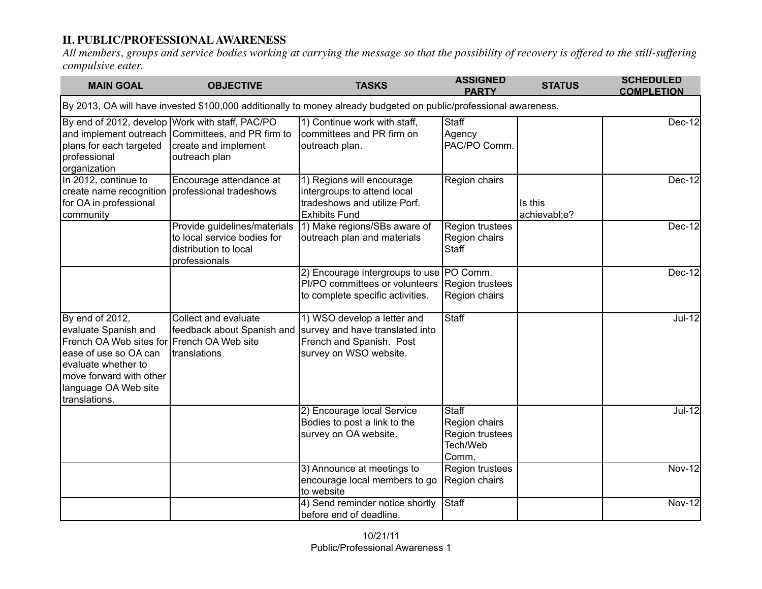## **II. PUBLIC/PROFESSIONAL AWARENESS**

*All members, groups and service bodies working at carrying the message so that the possibility of recovery is offered to the still-suffering compulsive eater.*

| <b>MAIN GOAL</b>                                                                                                                                                                                                                                   | <b>OBJECTIVE</b>                                                                                                                              | <b>TASKS</b>                                                                                                                                    | <b>ASSIGNED</b><br><b>PARTY</b>                                              | <b>STATUS</b>           | <b>SCHEDULED</b><br><b>COMPLETION</b> |
|----------------------------------------------------------------------------------------------------------------------------------------------------------------------------------------------------------------------------------------------------|-----------------------------------------------------------------------------------------------------------------------------------------------|-------------------------------------------------------------------------------------------------------------------------------------------------|------------------------------------------------------------------------------|-------------------------|---------------------------------------|
|                                                                                                                                                                                                                                                    |                                                                                                                                               | By 2013, OA will have invested \$100,000 additionally to money already budgeted on public/professional awareness.                               |                                                                              |                         |                                       |
| plans for each targeted<br>professional<br>organization                                                                                                                                                                                            | By end of 2012, develop Work with staff, PAC/PO<br>and implement outreach Committees, and PR firm to<br>create and implement<br>outreach plan | 1) Continue work with staff,<br>committees and PR firm on<br>outreach plan.                                                                     | Staff<br>Agency<br>PAC/PO Comm.                                              |                         | $Dec-12$                              |
| In 2012, continue to<br>create name recognition professional tradeshows<br>for OA in professional<br>community                                                                                                                                     | Encourage attendance at                                                                                                                       | 1) Regions will encourage<br>intergroups to attend local<br>tradeshows and utilize Porf.<br><b>Exhibits Fund</b>                                | Region chairs                                                                | Is this<br>achievabl;e? | $Dec-12$                              |
|                                                                                                                                                                                                                                                    | Provide guidelines/materials<br>to local service bodies for<br>distribution to local<br>professionals                                         | 1) Make regions/SBs aware of<br>outreach plan and materials                                                                                     | <b>Region trustees</b><br>Region chairs<br><b>Staff</b>                      |                         | $Dec-12$                              |
|                                                                                                                                                                                                                                                    |                                                                                                                                               | 2) Encourage intergroups to use   PO Comm.<br>PI/PO committees or volunteers<br>to complete specific activities.                                | Region trustees<br>Region chairs                                             |                         | $Dec-12$                              |
| By end of 2012,<br>Collect and evaluate<br>evaluate Spanish and<br>French OA Web sites for French OA Web site<br>ease of use so OA can<br>Itranslations<br>evaluate whether to<br>move forward with other<br>language OA Web site<br>translations. |                                                                                                                                               | 1) WSO develop a letter and<br>feedback about Spanish and survey and have translated into<br>French and Spanish. Post<br>survey on WSO website. | Staff                                                                        |                         | <b>Jul-12</b>                         |
|                                                                                                                                                                                                                                                    |                                                                                                                                               | 2) Encourage local Service<br>Bodies to post a link to the<br>survey on OA website.                                                             | <b>Staff</b><br>Region chairs<br><b>Region trustees</b><br>Tech/Web<br>Comm. |                         | Jul-12                                |
|                                                                                                                                                                                                                                                    |                                                                                                                                               | 3) Announce at meetings to<br>encourage local members to go<br>to website                                                                       | Region trustees<br>Region chairs                                             |                         | <b>Nov-12</b>                         |
|                                                                                                                                                                                                                                                    |                                                                                                                                               | 4) Send reminder notice shortly<br>before end of deadline.                                                                                      | <b>Staff</b>                                                                 |                         | <b>Nov-12</b>                         |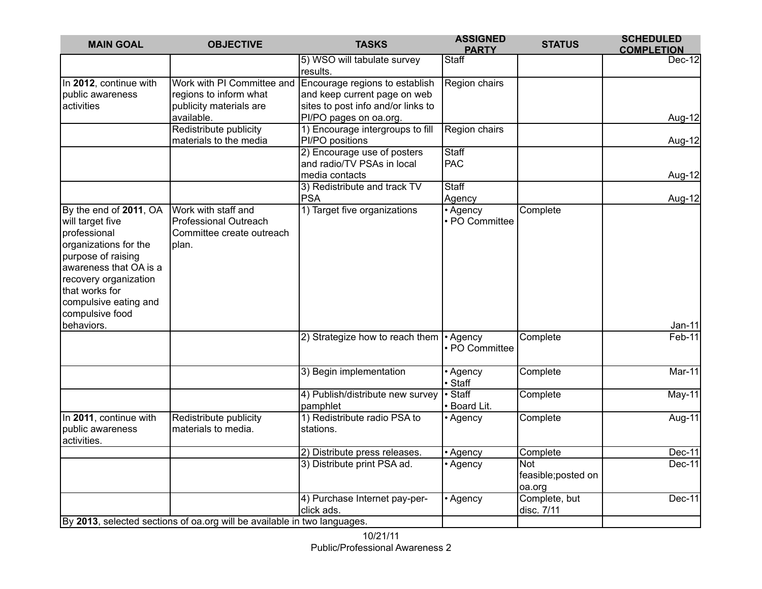| <b>TASKS</b><br><b>MAIN GOAL</b><br><b>OBJECTIVE</b><br><b>STATUS</b><br><b>PARTY</b><br><b>COMPLETION</b><br>5) WSO will tabulate survey<br><b>Staff</b><br>$Dec-12$<br>results.<br>Encourage regions to establish<br>In 2012, continue with<br>Work with PI Committee and<br>Region chairs<br>public awareness<br>regions to inform what<br>and keep current page on web<br>activities<br>publicity materials are<br>sites to post info and/or links to<br>available.<br>PI/PO pages on oa.org.<br>Aug-12<br>Redistribute publicity<br>1) Encourage intergroups to fill<br>Region chairs<br>materials to the media<br>PI/PO positions<br>Aug-12<br>2) Encourage use of posters<br><b>Staff</b><br>PAC<br>and radio/TV PSAs in local |
|---------------------------------------------------------------------------------------------------------------------------------------------------------------------------------------------------------------------------------------------------------------------------------------------------------------------------------------------------------------------------------------------------------------------------------------------------------------------------------------------------------------------------------------------------------------------------------------------------------------------------------------------------------------------------------------------------------------------------------------|
|                                                                                                                                                                                                                                                                                                                                                                                                                                                                                                                                                                                                                                                                                                                                       |
|                                                                                                                                                                                                                                                                                                                                                                                                                                                                                                                                                                                                                                                                                                                                       |
|                                                                                                                                                                                                                                                                                                                                                                                                                                                                                                                                                                                                                                                                                                                                       |
|                                                                                                                                                                                                                                                                                                                                                                                                                                                                                                                                                                                                                                                                                                                                       |
|                                                                                                                                                                                                                                                                                                                                                                                                                                                                                                                                                                                                                                                                                                                                       |
|                                                                                                                                                                                                                                                                                                                                                                                                                                                                                                                                                                                                                                                                                                                                       |
|                                                                                                                                                                                                                                                                                                                                                                                                                                                                                                                                                                                                                                                                                                                                       |
|                                                                                                                                                                                                                                                                                                                                                                                                                                                                                                                                                                                                                                                                                                                                       |
|                                                                                                                                                                                                                                                                                                                                                                                                                                                                                                                                                                                                                                                                                                                                       |
|                                                                                                                                                                                                                                                                                                                                                                                                                                                                                                                                                                                                                                                                                                                                       |
|                                                                                                                                                                                                                                                                                                                                                                                                                                                                                                                                                                                                                                                                                                                                       |
| media contacts<br>Aug-12                                                                                                                                                                                                                                                                                                                                                                                                                                                                                                                                                                                                                                                                                                              |
| 3) Redistribute and track TV<br><b>Staff</b>                                                                                                                                                                                                                                                                                                                                                                                                                                                                                                                                                                                                                                                                                          |
| <b>PSA</b><br>Agency<br>Aug-12                                                                                                                                                                                                                                                                                                                                                                                                                                                                                                                                                                                                                                                                                                        |
| 1) Target five organizations<br>By the end of 2011, OA<br>Work with staff and<br>Complete<br>• Agency                                                                                                                                                                                                                                                                                                                                                                                                                                                                                                                                                                                                                                 |
| will target five<br>· PO Committee<br><b>Professional Outreach</b>                                                                                                                                                                                                                                                                                                                                                                                                                                                                                                                                                                                                                                                                    |
| professional<br>Committee create outreach                                                                                                                                                                                                                                                                                                                                                                                                                                                                                                                                                                                                                                                                                             |
| organizations for the<br>plan.                                                                                                                                                                                                                                                                                                                                                                                                                                                                                                                                                                                                                                                                                                        |
| purpose of raising                                                                                                                                                                                                                                                                                                                                                                                                                                                                                                                                                                                                                                                                                                                    |
| awareness that OA is a                                                                                                                                                                                                                                                                                                                                                                                                                                                                                                                                                                                                                                                                                                                |
| recovery organization                                                                                                                                                                                                                                                                                                                                                                                                                                                                                                                                                                                                                                                                                                                 |
| that works for                                                                                                                                                                                                                                                                                                                                                                                                                                                                                                                                                                                                                                                                                                                        |
| compulsive eating and                                                                                                                                                                                                                                                                                                                                                                                                                                                                                                                                                                                                                                                                                                                 |
| compulsive food                                                                                                                                                                                                                                                                                                                                                                                                                                                                                                                                                                                                                                                                                                                       |
| behaviors.<br>Jan-11                                                                                                                                                                                                                                                                                                                                                                                                                                                                                                                                                                                                                                                                                                                  |
| $Feb-11$<br>2) Strategize how to reach them<br>Complete<br>• Agency                                                                                                                                                                                                                                                                                                                                                                                                                                                                                                                                                                                                                                                                   |
| • PO Committee                                                                                                                                                                                                                                                                                                                                                                                                                                                                                                                                                                                                                                                                                                                        |
| 3) Begin implementation<br>Complete<br>Mar-11                                                                                                                                                                                                                                                                                                                                                                                                                                                                                                                                                                                                                                                                                         |
| • Agency<br>· Staff                                                                                                                                                                                                                                                                                                                                                                                                                                                                                                                                                                                                                                                                                                                   |
| $\overline{\cdot$ Staff<br>4) Publish/distribute new survey<br>Complete<br>$May-11$                                                                                                                                                                                                                                                                                                                                                                                                                                                                                                                                                                                                                                                   |
| · Board Lit.<br>pamphlet                                                                                                                                                                                                                                                                                                                                                                                                                                                                                                                                                                                                                                                                                                              |
| 1) Redistribute radio PSA to<br>In 2011, continue with<br>Redistribute publicity<br>• Agency<br>Complete<br>Aug-11                                                                                                                                                                                                                                                                                                                                                                                                                                                                                                                                                                                                                    |
| public awareness<br>materials to media.<br>stations.                                                                                                                                                                                                                                                                                                                                                                                                                                                                                                                                                                                                                                                                                  |
| activities.                                                                                                                                                                                                                                                                                                                                                                                                                                                                                                                                                                                                                                                                                                                           |
| Complete<br>2) Distribute press releases.<br>• Agency<br>Dec-11                                                                                                                                                                                                                                                                                                                                                                                                                                                                                                                                                                                                                                                                       |
| 3) Distribute print PSA ad.<br><b>Dec-11</b><br>• Agency<br><b>Not</b>                                                                                                                                                                                                                                                                                                                                                                                                                                                                                                                                                                                                                                                                |
| feasible; posted on                                                                                                                                                                                                                                                                                                                                                                                                                                                                                                                                                                                                                                                                                                                   |
| oa.org                                                                                                                                                                                                                                                                                                                                                                                                                                                                                                                                                                                                                                                                                                                                |
| Complete, but<br>4) Purchase Internet pay-per-<br>• Agency<br>Dec-11                                                                                                                                                                                                                                                                                                                                                                                                                                                                                                                                                                                                                                                                  |
| click ads.<br>disc. 7/11                                                                                                                                                                                                                                                                                                                                                                                                                                                                                                                                                                                                                                                                                                              |
| By 2013, selected sections of oa.org will be available in two languages.                                                                                                                                                                                                                                                                                                                                                                                                                                                                                                                                                                                                                                                              |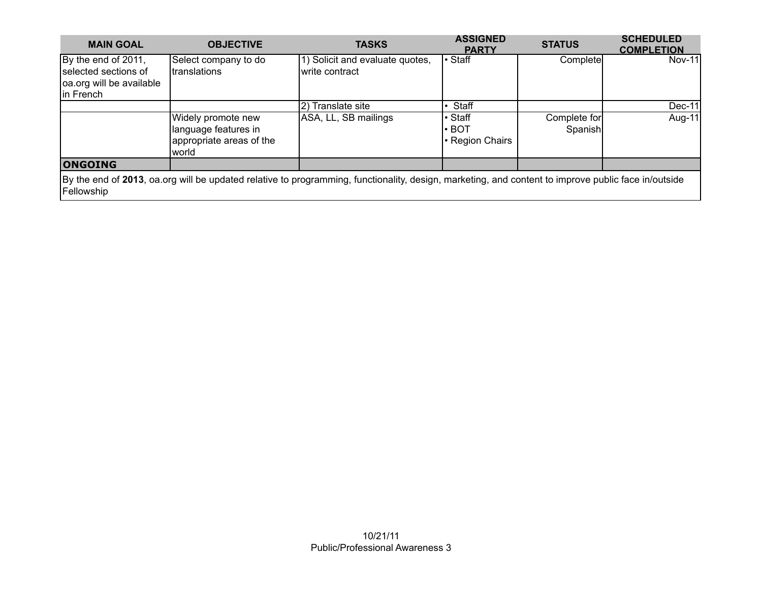| <b>MAIN GOAL</b>                                                        | <b>OBJECTIVE</b>                                                                 | <b>TASKS</b>                                                                                                                                        | <b>ASSIGNED</b><br><b>PARTY</b>           | <b>STATUS</b>           | <b>SCHEDULED</b><br><b>COMPLETION</b> |
|-------------------------------------------------------------------------|----------------------------------------------------------------------------------|-----------------------------------------------------------------------------------------------------------------------------------------------------|-------------------------------------------|-------------------------|---------------------------------------|
| By the end of 2011,<br>selected sections of<br>oa.org will be available | Select company to do<br>Itranslations                                            | 1) Solicit and evaluate quotes,<br>write contract                                                                                                   | • Staff                                   | Complete                | <b>Nov-11</b>                         |
| lin French                                                              |                                                                                  | 2) Translate site                                                                                                                                   | Staff                                     |                         | $Dec-11$                              |
|                                                                         | Widely promote new<br>language features in<br>appropriate areas of the<br>lworld | ASA, LL, SB mailings                                                                                                                                | • Staff<br>$\cdot$ BOT<br>• Region Chairs | Complete for<br>Spanish | Aug-11                                |
| <b>ONGOING</b>                                                          |                                                                                  |                                                                                                                                                     |                                           |                         |                                       |
| Fellowship                                                              |                                                                                  | By the end of 2013, oa.org will be updated relative to programming, functionality, design, marketing, and content to improve public face in/outside |                                           |                         |                                       |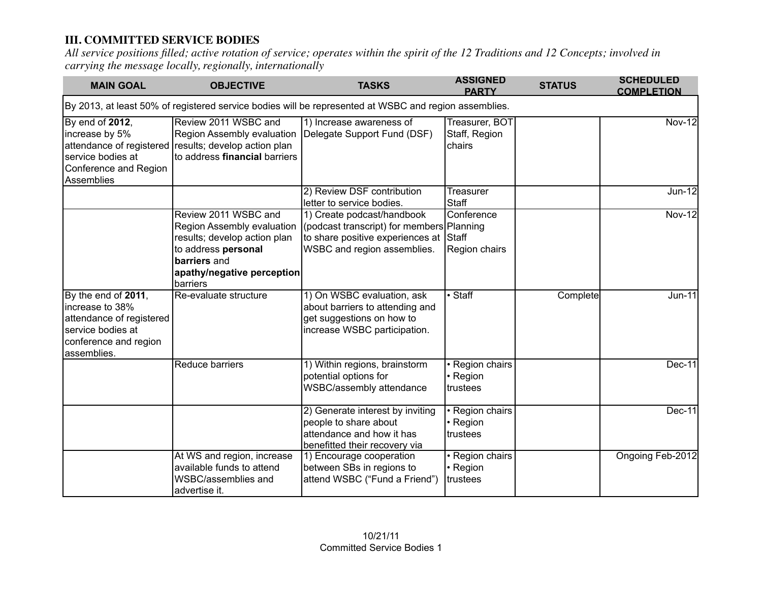## **III. COMMITTED SERVICE BODIES**

*All service positions filled; active rotation of service; operates within the spirit of the 12 Traditions and 12 Concepts; involved in carrying the message locally, regionally, internationally*

| <b>MAIN GOAL</b>                                                                                                                | <b>OBJECTIVE</b>                                                                                                                                                    | <b>TASKS</b>                                                                                                                                     | <b>ASSIGNED</b><br><b>PARTY</b>           | <b>STATUS</b> | <b>SCHEDULED</b><br><b>COMPLETION</b> |
|---------------------------------------------------------------------------------------------------------------------------------|---------------------------------------------------------------------------------------------------------------------------------------------------------------------|--------------------------------------------------------------------------------------------------------------------------------------------------|-------------------------------------------|---------------|---------------------------------------|
|                                                                                                                                 |                                                                                                                                                                     | By 2013, at least 50% of registered service bodies will be represented at WSBC and region assemblies.                                            |                                           |               |                                       |
| By end of 2012,<br>increase by 5%<br>service bodies at<br>Conference and Region<br>Assemblies                                   | Review 2011 WSBC and<br>Region Assembly evaluation<br>attendance of registered results; develop action plan<br>Ito address <b>financial</b> barriers                | 1) Increase awareness of<br>Delegate Support Fund (DSF)                                                                                          | Treasurer, BOT<br>Staff, Region<br>chairs |               | <b>Nov-12</b>                         |
|                                                                                                                                 |                                                                                                                                                                     | 2) Review DSF contribution<br>letter to service bodies.                                                                                          | Treasurer<br>Staff                        |               | $Jun-12$                              |
|                                                                                                                                 | Review 2011 WSBC and<br>Region Assembly evaluation<br>results; develop action plan<br>to address personal<br>barriers and<br>apathy/negative perception<br>barriers | 1) Create podcast/handbook<br>(podcast transcript) for members Planning<br>to share positive experiences at Staff<br>WSBC and region assemblies. | Conference<br>Region chairs               |               | Nov-12                                |
| By the end of 2011,<br>increase to 38%<br>attendance of registered<br>service bodies at<br>conference and region<br>assemblies. | Re-evaluate structure                                                                                                                                               | 1) On WSBC evaluation, ask<br>about barriers to attending and<br>get suggestions on how to<br>increase WSBC participation.                       | $\overline{\cdot}$ Staff                  | Complete      | Jun-11                                |
|                                                                                                                                 | Reduce barriers                                                                                                                                                     | 1) Within regions, brainstorm<br>potential options for<br>WSBC/assembly attendance                                                               | · Region chairs<br>• Region<br>trustees   |               | $Dec-11$                              |
|                                                                                                                                 |                                                                                                                                                                     | 2) Generate interest by inviting<br>people to share about<br>attendance and how it has<br>benefitted their recovery via                          | · Region chairs<br>• Region<br>trustees   |               | $Dec-11$                              |
|                                                                                                                                 | At WS and region, increase<br>available funds to attend<br>WSBC/assemblies and<br>advertise it.                                                                     | 1) Encourage cooperation<br>between SBs in regions to<br>attend WSBC ("Fund a Friend")                                                           | • Region chairs<br>• Region<br>trustees   |               | Ongoing Feb-2012                      |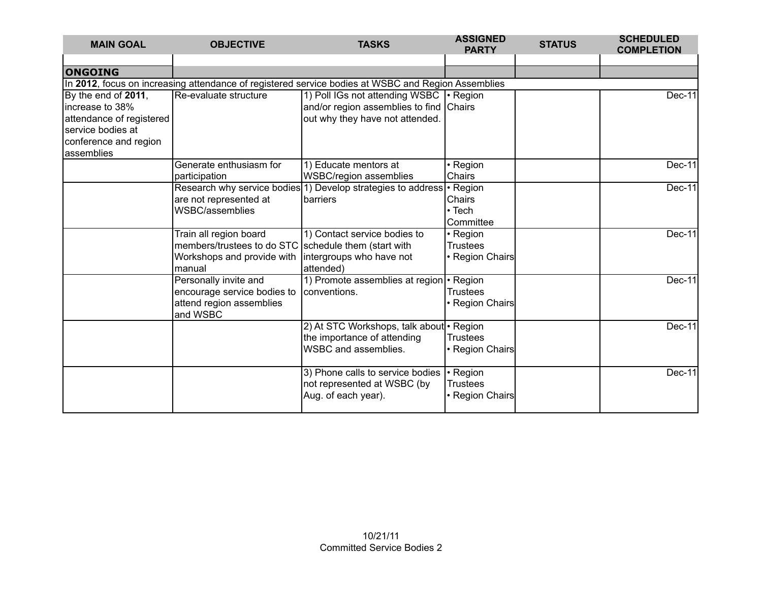| <b>MAIN GOAL</b>         | <b>OBJECTIVE</b>                                     | <b>TASKS</b>                                                                                       | <b>ASSIGNED</b><br><b>PARTY</b> | <b>STATUS</b> | <b>SCHEDULED</b><br><b>COMPLETION</b> |
|--------------------------|------------------------------------------------------|----------------------------------------------------------------------------------------------------|---------------------------------|---------------|---------------------------------------|
|                          |                                                      |                                                                                                    |                                 |               |                                       |
| <b>ONGOING</b>           |                                                      |                                                                                                    |                                 |               |                                       |
|                          |                                                      | In 2012, focus on increasing attendance of registered service bodies at WSBC and Region Assemblies |                                 |               |                                       |
| By the end of 2011,      | Re-evaluate structure                                | 1) Poll IGs not attending WSBC   Region                                                            |                                 |               | Dec-11                                |
| increase to 38%          |                                                      | and/or region assemblies to find Chairs                                                            |                                 |               |                                       |
| attendance of registered |                                                      | out why they have not attended.                                                                    |                                 |               |                                       |
| service bodies at        |                                                      |                                                                                                    |                                 |               |                                       |
| conference and region    |                                                      |                                                                                                    |                                 |               |                                       |
| assemblies               |                                                      |                                                                                                    |                                 |               |                                       |
|                          | Generate enthusiasm for                              | 1) Educate mentors at                                                                              | • Region                        |               | $Dec-11$                              |
|                          | participation                                        | <b>WSBC/region assemblies</b>                                                                      | Chairs                          |               |                                       |
|                          |                                                      | Research why service bodies 1) Develop strategies to address                                       | • Region                        |               | $Dec-11$                              |
|                          | are not represented at                               | barriers                                                                                           | Chairs                          |               |                                       |
|                          | WSBC/assemblies                                      |                                                                                                    | $\cdot$ Tech                    |               |                                       |
|                          |                                                      |                                                                                                    | Committee                       |               |                                       |
|                          | Train all region board                               | 1) Contact service bodies to                                                                       | • Region                        |               | $Dec-11$                              |
|                          | members/trustees to do STC schedule them (start with |                                                                                                    | <b>Trustees</b>                 |               |                                       |
|                          | Workshops and provide with                           | intergroups who have not                                                                           | • Region Chairs                 |               |                                       |
|                          | manual                                               | attended)                                                                                          |                                 |               |                                       |
|                          | Personally invite and                                | 1) Promote assemblies at region   Region                                                           |                                 |               | $Dec-11$                              |
|                          | encourage service bodies to                          | conventions.                                                                                       | <b>Trustees</b>                 |               |                                       |
|                          | attend region assemblies                             |                                                                                                    | • Region Chairs                 |               |                                       |
|                          | and WSBC                                             |                                                                                                    |                                 |               |                                       |
|                          |                                                      | 2) At STC Workshops, talk about • Region                                                           |                                 |               | $Dec-11$                              |
|                          |                                                      | the importance of attending                                                                        | <b>Trustees</b>                 |               |                                       |
|                          |                                                      | WSBC and assemblies.                                                                               | • Region Chairs                 |               |                                       |
|                          |                                                      |                                                                                                    |                                 |               |                                       |
|                          |                                                      | 3) Phone calls to service bodies   Region                                                          |                                 |               | Dec-11                                |
|                          |                                                      | not represented at WSBC (by                                                                        | <b>Trustees</b>                 |               |                                       |
|                          |                                                      | Aug. of each year).                                                                                | • Region Chairs                 |               |                                       |
|                          |                                                      |                                                                                                    |                                 |               |                                       |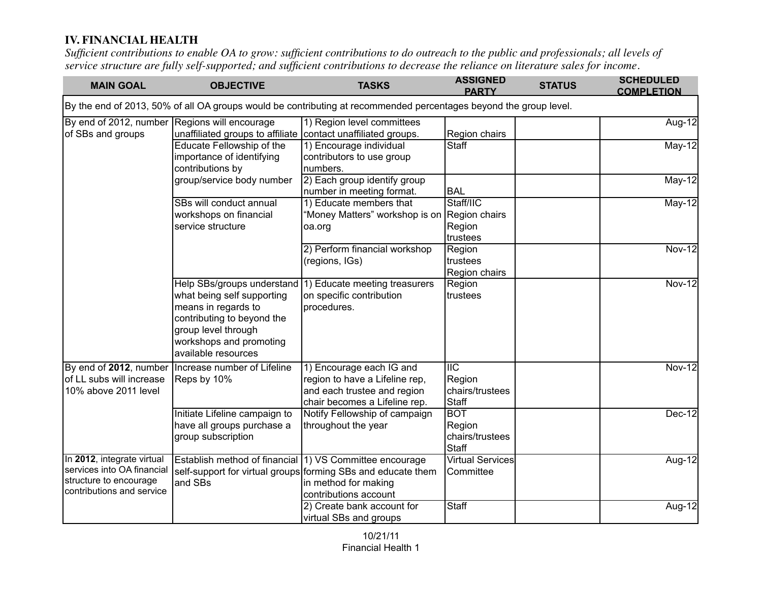## **IV. FINANCIAL HEALTH**

*Sufficient contributions to enable OA to grow: sufficient contributions to do outreach to the public and professionals; all levels of service structure are fully self-supported; and sufficient contributions to decrease the reliance on literature sales for income.*

| <b>MAIN GOAL</b>                                                                                                | <b>OBJECTIVE</b>                                                                                                                                         | <b>TASKS</b>                                                                                                                               | <b>ASSIGNED</b><br><b>PARTY</b>                   | <b>STATUS</b> | <b>SCHEDULED</b><br><b>COMPLETION</b> |
|-----------------------------------------------------------------------------------------------------------------|----------------------------------------------------------------------------------------------------------------------------------------------------------|--------------------------------------------------------------------------------------------------------------------------------------------|---------------------------------------------------|---------------|---------------------------------------|
|                                                                                                                 |                                                                                                                                                          | By the end of 2013, 50% of all OA groups would be contributing at recommended percentages beyond the group level.                          |                                                   |               |                                       |
| By end of 2012, number Regions will encourage<br>of SBs and groups                                              | unaffiliated groups to affiliate                                                                                                                         | 1) Region level committees<br>contact unaffiliated groups.                                                                                 | Region chairs                                     |               | Aug-12                                |
|                                                                                                                 | <b>Educate Fellowship of the</b><br>importance of identifying<br>contributions by                                                                        | 1) Encourage individual<br>contributors to use group<br>numbers.                                                                           | <b>Staff</b>                                      |               | May-12                                |
|                                                                                                                 | group/service body number                                                                                                                                | 2) Each group identify group<br>number in meeting format.                                                                                  | <b>BAL</b>                                        |               | $May-12$                              |
|                                                                                                                 | SBs will conduct annual<br>workshops on financial<br>service structure                                                                                   | 1) Educate members that<br>"Money Matters" workshop is on Region chairs<br>oa.org                                                          | Staff/IIC<br>Region<br>trustees                   |               | $May-12$                              |
|                                                                                                                 |                                                                                                                                                          | 2) Perform financial workshop<br>(regions, IGs)                                                                                            | Region<br>trustees<br>Region chairs               |               | <b>Nov-12</b>                         |
|                                                                                                                 | what being self supporting<br>means in regards to<br>contributing to beyond the<br>group level through<br>workshops and promoting<br>available resources | Help SBs/groups understand (1) Educate meeting treasurers<br>on specific contribution<br>procedures.                                       | Region<br>trustees                                |               | <b>Nov-12</b>                         |
| of LL subs will increase<br>10% above 2011 level                                                                | By end of 2012, number Increase number of Lifeline<br>Reps by 10%                                                                                        | 1) Encourage each IG and<br>region to have a Lifeline rep,<br>and each trustee and region<br>chair becomes a Lifeline rep.                 | <b>IIIC</b><br>Region<br>chairs/trustees<br>Staff |               | <b>Nov-12</b>                         |
|                                                                                                                 | Initiate Lifeline campaign to<br>have all groups purchase a<br>group subscription                                                                        | Notify Fellowship of campaign<br>throughout the year                                                                                       | <b>BOT</b><br>Region<br>chairs/trustees<br>Staff  |               | Dec-12                                |
| In 2012, integrate virtual<br>services into OA financial<br>structure to encourage<br>contributions and service | Establish method of financial<br>and SBs                                                                                                                 | 1) VS Committee encourage<br>self-support for virtual groups forming SBs and educate them<br>in method for making<br>contributions account | <b>Virtual Services</b><br>Committee              |               | Aug-12                                |
|                                                                                                                 |                                                                                                                                                          | 2) Create bank account for<br>virtual SBs and groups                                                                                       | Staff                                             |               | Aug-12                                |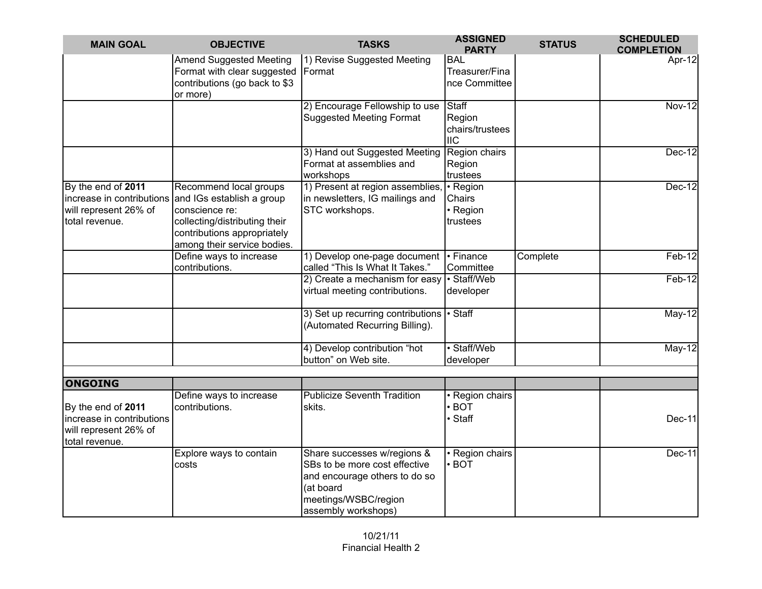| <b>MAIN GOAL</b>                                                                           | <b>OBJECTIVE</b>                                                                                                                                                                               | <b>TASKS</b>                                                                                                                                              | <b>ASSIGNED</b><br><b>PARTY</b>                  | <b>STATUS</b> | <b>SCHEDULED</b><br><b>COMPLETION</b> |
|--------------------------------------------------------------------------------------------|------------------------------------------------------------------------------------------------------------------------------------------------------------------------------------------------|-----------------------------------------------------------------------------------------------------------------------------------------------------------|--------------------------------------------------|---------------|---------------------------------------|
|                                                                                            | Amend Suggested Meeting<br>Format with clear suggested Format<br>contributions (go back to \$3<br>or more)                                                                                     | 1) Revise Suggested Meeting                                                                                                                               | BAL<br>Treasurer/Fina<br>nce Committee           |               | Apr-12                                |
|                                                                                            |                                                                                                                                                                                                | 2) Encourage Fellowship to use<br><b>Suggested Meeting Format</b>                                                                                         | Staff<br>Region<br>chairs/trustees<br><b>IIC</b> |               | Nov-12                                |
|                                                                                            |                                                                                                                                                                                                | 3) Hand out Suggested Meeting<br>Format at assemblies and<br>workshops                                                                                    | Region chairs<br>Region<br>trustees              |               | <b>Dec-12</b>                         |
| By the end of 2011<br>will represent 26% of<br>total revenue.                              | Recommend local groups<br>increase in contributions and IGs establish a group<br>conscience re:<br>collecting/distributing their<br>contributions appropriately<br>among their service bodies. | 1) Present at region assemblies, • Region<br>in newsletters, IG mailings and<br>STC workshops.                                                            | Chairs<br>• Region<br>trustees                   |               | $Dec-12$                              |
|                                                                                            | Define ways to increase<br>contributions.                                                                                                                                                      | 1) Develop one-page document<br>called "This Is What It Takes."                                                                                           | $\cdot$ Finance<br>Committee                     | Complete      | Feb-12                                |
|                                                                                            |                                                                                                                                                                                                | 2) Create a mechanism for easy<br>virtual meeting contributions.                                                                                          | · Staff/Web<br>developer                         |               | $Feb-12$                              |
|                                                                                            |                                                                                                                                                                                                | 3) Set up recurring contributions   Staff<br>(Automated Recurring Billing).                                                                               |                                                  |               | $May-12$                              |
|                                                                                            |                                                                                                                                                                                                | 4) Develop contribution "hot<br>button" on Web site.                                                                                                      | · Staff/Web<br>developer                         |               | <b>May-12</b>                         |
| <b>ONGOING</b>                                                                             |                                                                                                                                                                                                |                                                                                                                                                           |                                                  |               |                                       |
| By the end of 2011<br>increase in contributions<br>will represent 26% of<br>total revenue. | Define ways to increase<br>contributions.                                                                                                                                                      | <b>Publicize Seventh Tradition</b><br>skits.                                                                                                              | · Region chairs<br>$\cdot$ BOT<br>• Staff        |               | $Dec-11$                              |
|                                                                                            | Explore ways to contain<br>costs                                                                                                                                                               | Share successes w/regions &<br>SBs to be more cost effective<br>and encourage others to do so<br>(at board<br>meetings/WSBC/region<br>assembly workshops) | • Region chairs<br>$\cdot$ BOT                   |               | $Dec-11$                              |